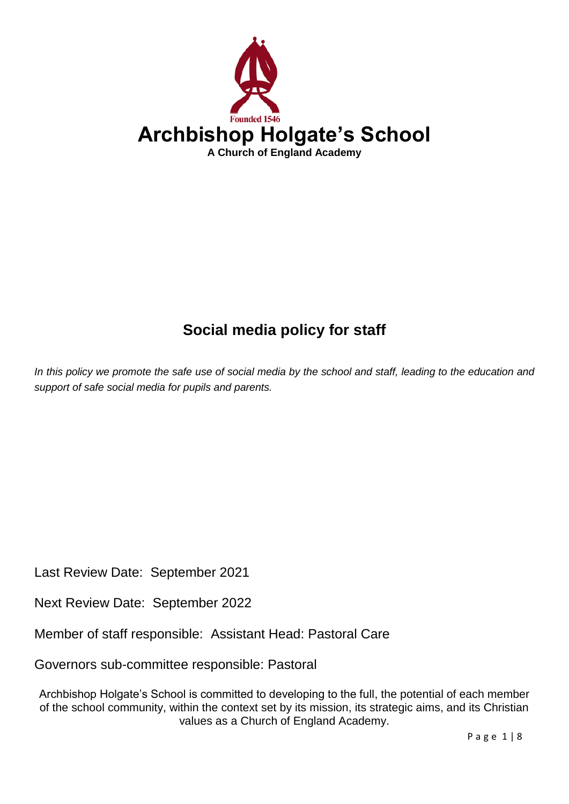

# **Social media policy for staff**

*In this policy we promote the safe use of social media by the school and staff, leading to the education and support of safe social media for pupils and parents.* 

Last Review Date: September 2021

Next Review Date: September 2022

Member of staff responsible: Assistant Head: Pastoral Care

Governors sub-committee responsible: Pastoral

Archbishop Holgate's School is committed to developing to the full, the potential of each member of the school community, within the context set by its mission, its strategic aims, and its Christian values as a Church of England Academy.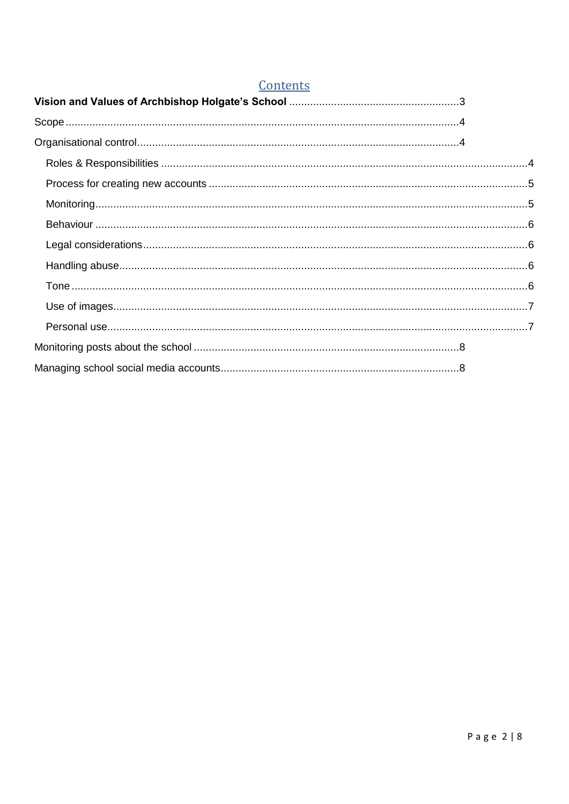| Contents                                                                                                                                                                                                                                                                                                                                         |  |
|--------------------------------------------------------------------------------------------------------------------------------------------------------------------------------------------------------------------------------------------------------------------------------------------------------------------------------------------------|--|
|                                                                                                                                                                                                                                                                                                                                                  |  |
|                                                                                                                                                                                                                                                                                                                                                  |  |
|                                                                                                                                                                                                                                                                                                                                                  |  |
|                                                                                                                                                                                                                                                                                                                                                  |  |
|                                                                                                                                                                                                                                                                                                                                                  |  |
| $\text{Monitoring}.\textcolor{red}{\textbf{10.15}} \text{11.15} \text{12.16} \text{13.17} \text{14.17} \text{15.18} \text{16.19} \text{17.19} \text{18.19} \text{19.19} \text{19.19} \text{19.19} \text{19.19} \text{19.19} \text{19.19} \text{19.19} \text{19.19} \text{19.19} \text{19.19} \text{19.19} \text{19.19} \text{19.19} \text{19.19$ |  |
|                                                                                                                                                                                                                                                                                                                                                  |  |
|                                                                                                                                                                                                                                                                                                                                                  |  |
|                                                                                                                                                                                                                                                                                                                                                  |  |
|                                                                                                                                                                                                                                                                                                                                                  |  |
|                                                                                                                                                                                                                                                                                                                                                  |  |
|                                                                                                                                                                                                                                                                                                                                                  |  |
|                                                                                                                                                                                                                                                                                                                                                  |  |
|                                                                                                                                                                                                                                                                                                                                                  |  |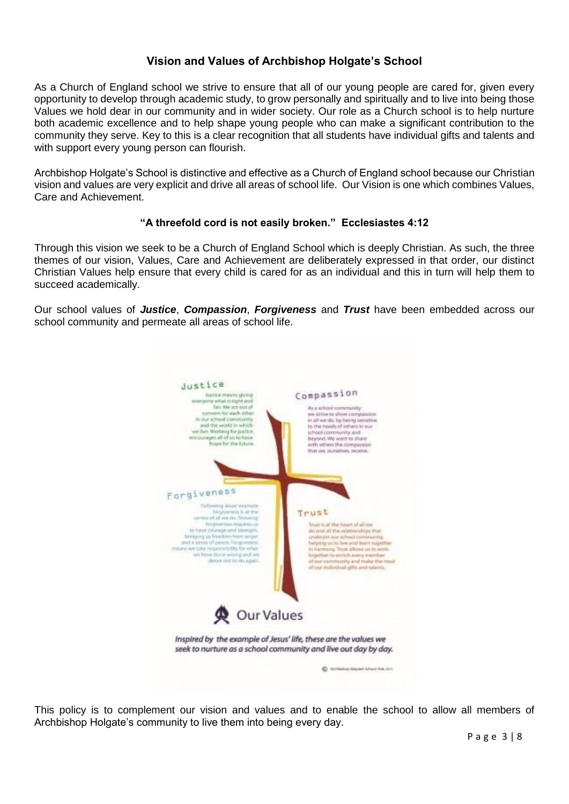# **Vision and Values of Archbishop Holgate's School**

<span id="page-2-0"></span>As a Church of England school we strive to ensure that all of our young people are cared for, given every opportunity to develop through academic study, to grow personally and spiritually and to live into being those Values we hold dear in our community and in wider society. Our role as a Church school is to help nurture both academic excellence and to help shape young people who can make a significant contribution to the community they serve. Key to this is a clear recognition that all students have individual gifts and talents and with support every young person can flourish.

Archbishop Holgate's School is distinctive and effective as a Church of England school because our Christian vision and values are very explicit and drive all areas of school life. Our Vision is one which combines Values, Care and Achievement.

## **"A threefold cord is not easily broken." Ecclesiastes 4:12**

Through this vision we seek to be a Church of England School which is deeply Christian. As such, the three themes of our vision, Values, Care and Achievement are deliberately expressed in that order, our distinct Christian Values help ensure that every child is cared for as an individual and this in turn will help them to succeed academically.

Our school values of *Justice*, *Compassion*, *Forgiveness* and *Trust* have been embedded across our school community and permeate all areas of school life.



This policy is to complement our vision and values and to enable the school to allow all members of Archbishop Holgate's community to live them into being every day.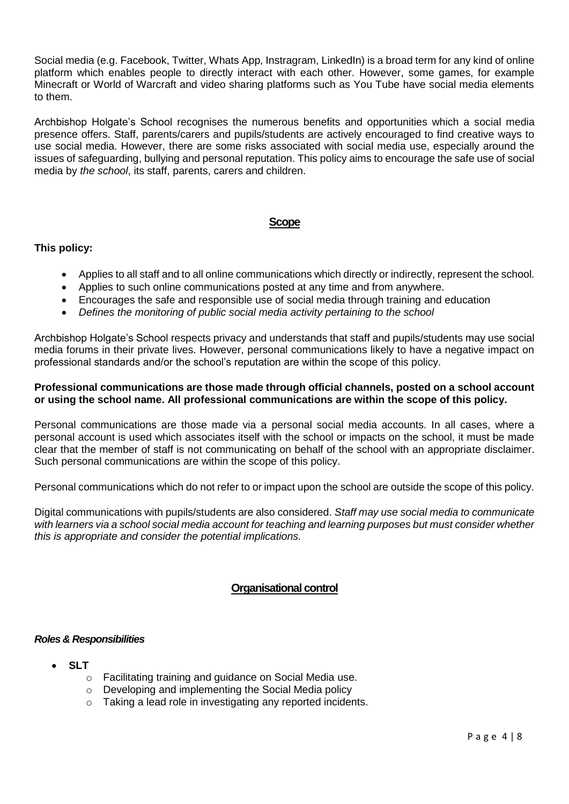Social media (e.g. Facebook, Twitter, Whats App, Instragram, LinkedIn) is a broad term for any kind of online platform which enables people to directly interact with each other. However, some games, for example Minecraft or World of Warcraft and video sharing platforms such as You Tube have social media elements to them.

Archbishop Holgate's School recognises the numerous benefits and opportunities which a social media presence offers. Staff, parents/carers and pupils/students are actively encouraged to find creative ways to use social media. However, there are some risks associated with social media use, especially around the issues of safeguarding, bullying and personal reputation. This policy aims to encourage the safe use of social media by *the school*, its staff, parents, carers and children.

## **Scope**

## <span id="page-3-0"></span>**This policy:**

- Applies to all staff and to all online communications which directly or indirectly, represent the school.
- Applies to such online communications posted at any time and from anywhere.
- Encourages the safe and responsible use of social media through training and education
- *Defines the monitoring of public social media activity pertaining to the school*

Archbishop Holgate's School respects privacy and understands that staff and pupils/students may use social media forums in their private lives. However, personal communications likely to have a negative impact on professional standards and/or the school's reputation are within the scope of this policy.

#### **Professional communications are those made through official channels, posted on a school account or using the school name. All professional communications are within the scope of this policy.**

Personal communications are those made via a personal social media accounts. In all cases, where a personal account is used which associates itself with the school or impacts on the school, it must be made clear that the member of staff is not communicating on behalf of the school with an appropriate disclaimer. Such personal communications are within the scope of this policy.

Personal communications which do not refer to or impact upon the school are outside the scope of this policy.

Digital communications with pupils/students are also considered. *Staff may use social media to communicate with learners via a school social media account for teaching and learning purposes but must consider whether this is appropriate and consider the potential implications.*

## **Organisational control**

#### <span id="page-3-2"></span><span id="page-3-1"></span>*Roles & Responsibilities*

- **SLT**
	- o Facilitating training and guidance on Social Media use.
	- o Developing and implementing the Social Media policy
	- o Taking a lead role in investigating any reported incidents.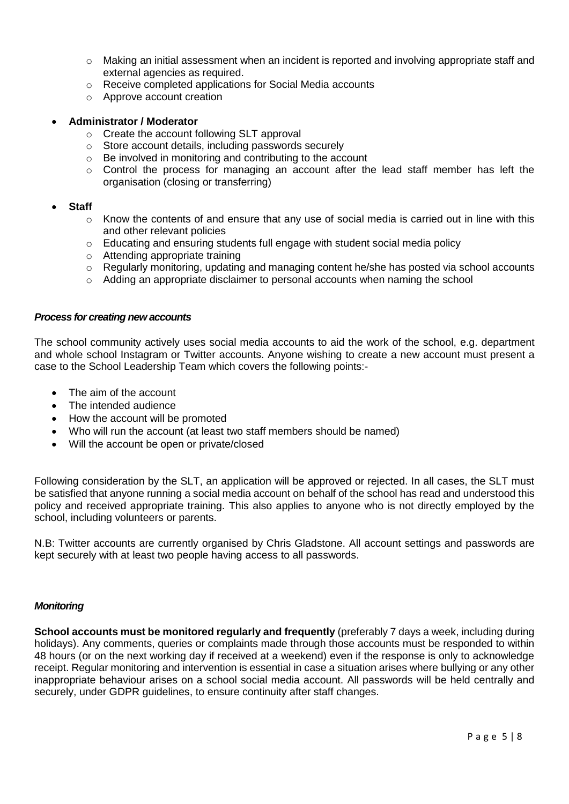- $\circ$  Making an initial assessment when an incident is reported and involving appropriate staff and external agencies as required.
- o Receive completed applications for Social Media accounts
- o Approve account creation

#### • **Administrator / Moderator**

- o Create the account following SLT approval
- o Store account details, including passwords securely
- o Be involved in monitoring and contributing to the account
- o Control the process for managing an account after the lead staff member has left the organisation (closing or transferring)

#### • **Staff**

- $\circ$  Know the contents of and ensure that any use of social media is carried out in line with this and other relevant policies
- o Educating and ensuring students full engage with student social media policy
- o Attending appropriate training
- o Regularly monitoring, updating and managing content he/she has posted via school accounts
- o Adding an appropriate disclaimer to personal accounts when naming the school

#### <span id="page-4-0"></span>*Process for creating new accounts*

The school community actively uses social media accounts to aid the work of the school, e.g. department and whole school Instagram or Twitter accounts. Anyone wishing to create a new account must present a case to the School Leadership Team which covers the following points:-

- The aim of the account
- The intended audience
- How the account will be promoted
- Who will run the account (at least two staff members should be named)
- Will the account be open or private/closed

Following consideration by the SLT, an application will be approved or rejected. In all cases, the SLT must be satisfied that anyone running a social media account on behalf of the school has read and understood this policy and received appropriate training. This also applies to anyone who is not directly employed by the school, including volunteers or parents.

N.B: Twitter accounts are currently organised by Chris Gladstone. All account settings and passwords are kept securely with at least two people having access to all passwords.

#### <span id="page-4-1"></span>*Monitoring*

**School accounts must be monitored regularly and frequently** (preferably 7 days a week, including during holidays). Any comments, queries or complaints made through those accounts must be responded to within 48 hours (or on the next working day if received at a weekend) even if the response is only to acknowledge receipt. Regular monitoring and intervention is essential in case a situation arises where bullying or any other inappropriate behaviour arises on a school social media account. All passwords will be held centrally and securely, under GDPR guidelines, to ensure continuity after staff changes.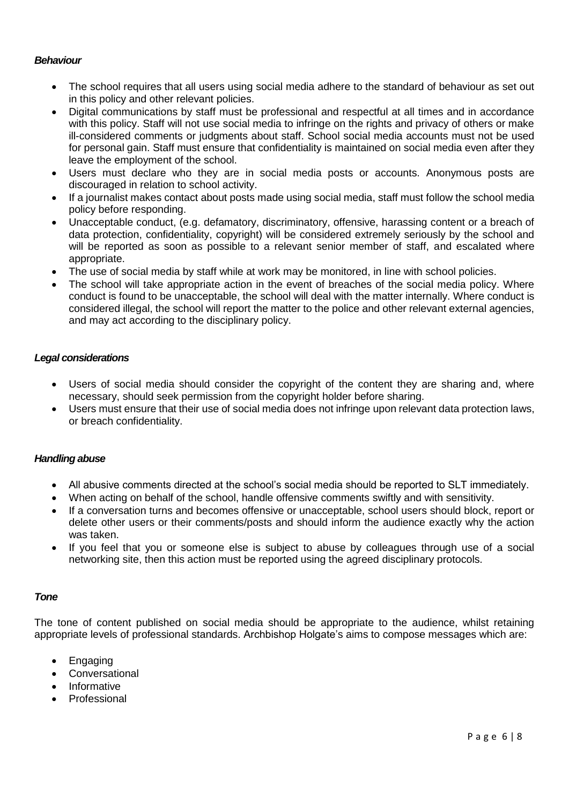## <span id="page-5-0"></span>*Behaviour*

- The school requires that all users using social media adhere to the standard of behaviour as set out in this policy and other relevant policies.
- Digital communications by staff must be professional and respectful at all times and in accordance with this policy. Staff will not use social media to infringe on the rights and privacy of others or make ill-considered comments or judgments about staff. School social media accounts must not be used for personal gain. Staff must ensure that confidentiality is maintained on social media even after they leave the employment of the school.
- Users must declare who they are in social media posts or accounts. Anonymous posts are discouraged in relation to school activity.
- If a journalist makes contact about posts made using social media, staff must follow the school media policy before responding.
- Unacceptable conduct, (e.g. defamatory, discriminatory, offensive, harassing content or a breach of data protection, confidentiality, copyright) will be considered extremely seriously by the school and will be reported as soon as possible to a relevant senior member of staff, and escalated where appropriate.
- The use of social media by staff while at work may be monitored, in line with school policies.
- The school will take appropriate action in the event of breaches of the social media policy. Where conduct is found to be unacceptable, the school will deal with the matter internally. Where conduct is considered illegal, the school will report the matter to the police and other relevant external agencies, and may act according to the disciplinary policy.

### <span id="page-5-1"></span>*Legal considerations*

- Users of social media should consider the copyright of the content they are sharing and, where necessary, should seek permission from the copyright holder before sharing.
- Users must ensure that their use of social media does not infringe upon relevant data protection laws, or breach confidentiality.

#### <span id="page-5-2"></span>*Handling abuse*

- All abusive comments directed at the school's social media should be reported to SLT immediately.
- When acting on behalf of the school, handle offensive comments swiftly and with sensitivity.
- If a conversation turns and becomes offensive or unacceptable, school users should block, report or delete other users or their comments/posts and should inform the audience exactly why the action was taken.
- If you feel that you or someone else is subject to abuse by colleagues through use of a social networking site, then this action must be reported using the agreed disciplinary protocols.

#### <span id="page-5-3"></span>*Tone*

The tone of content published on social media should be appropriate to the audience, whilst retaining appropriate levels of professional standards. Archbishop Holgate's aims to compose messages which are:

- Engaging
- **Conversational**
- Informative
- **Professional**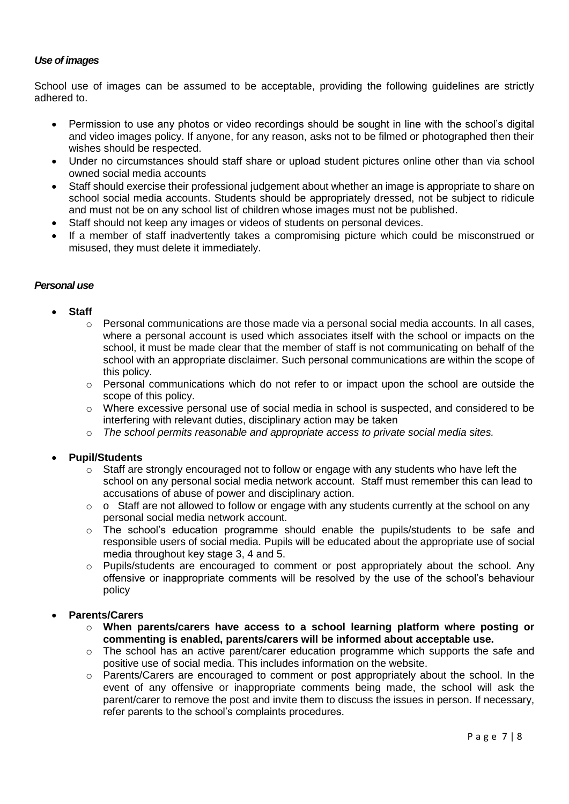## <span id="page-6-0"></span>*Use of images*

School use of images can be assumed to be acceptable, providing the following guidelines are strictly adhered to.

- Permission to use any photos or video recordings should be sought in line with the school's digital and video images policy. If anyone, for any reason, asks not to be filmed or photographed then their wishes should be respected.
- Under no circumstances should staff share or upload student pictures online other than via school owned social media accounts
- Staff should exercise their professional judgement about whether an image is appropriate to share on school social media accounts. Students should be appropriately dressed, not be subject to ridicule and must not be on any school list of children whose images must not be published.
- Staff should not keep any images or videos of students on personal devices.
- If a member of staff inadvertently takes a compromising picture which could be misconstrued or misused, they must delete it immediately.

## <span id="page-6-1"></span>*Personal use*

- **Staff**
	- $\circ$  Personal communications are those made via a personal social media accounts. In all cases, where a personal account is used which associates itself with the school or impacts on the school, it must be made clear that the member of staff is not communicating on behalf of the school with an appropriate disclaimer. Such personal communications are within the scope of this policy.
	- o Personal communications which do not refer to or impact upon the school are outside the scope of this policy.
	- o Where excessive personal use of social media in school is suspected, and considered to be interfering with relevant duties, disciplinary action may be taken
	- o *The school permits reasonable and appropriate access to private social media sites.*

## • **Pupil/Students**

- $\circ$  Staff are strongly encouraged not to follow or engage with any students who have left the school on any personal social media network account. Staff must remember this can lead to accusations of abuse of power and disciplinary action.
- o o Staff are not allowed to follow or engage with any students currently at the school on any personal social media network account.
- o The school's education programme should enable the pupils/students to be safe and responsible users of social media. Pupils will be educated about the appropriate use of social media throughout key stage 3, 4 and 5.
- o Pupils/students are encouraged to comment or post appropriately about the school. Any offensive or inappropriate comments will be resolved by the use of the school's behaviour policy

## • **Parents/Carers**

- o **When parents/carers have access to a school learning platform where posting or commenting is enabled, parents/carers will be informed about acceptable use.**
- $\circ$  The school has an active parent/carer education programme which supports the safe and positive use of social media. This includes information on the website.
- o Parents/Carers are encouraged to comment or post appropriately about the school. In the event of any offensive or inappropriate comments being made, the school will ask the parent/carer to remove the post and invite them to discuss the issues in person. If necessary, refer parents to the school's complaints procedures.